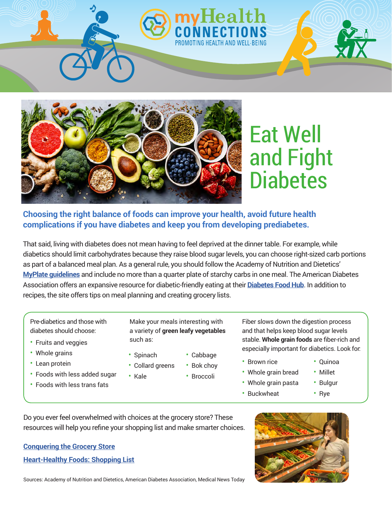

# Eat Well and Fight **Diabetes**

#### **Choosing the right balance of foods can improve your health, avoid future health complications if you have diabetes and keep you from developing prediabetes.**

That said, living with diabetes does not mean having to feel deprived at the dinner table. For example, while diabetics should limit carbohydrates because they raise blood sugar levels, you can choose right-sized carb portions as part of a balanced meal plan. As a general rule, you should follow the Academy of Nutrition and Dietetics' **[MyPlate guidelines](https://www.eatright.org/-/media/files/eatrightdocuments/nnm/eatrightwithmyplate.pdf?la=en&hash=4EF4A4D188452B3AC90AFC465248B3BA03F21835)** and include no more than a quarter plate of starchy carbs in one meal. The American Diabetes Association offers an expansive resource for diabetic-friendly eating at their **[Diabetes Food Hub](http://www.diabetesfoodhub.org/)**. In addition to recipes, the site offers tips on meal planning and creating grocery lists.

Pre-diabetics and those with diabetes should choose:

- Fruits and veggies
- Whole grains
- Lean protein
- Foods with less added sugar
- Foods with less trans fats

Make your meals interesting with a variety of **green leafy vegetables** such as:

- Spinach
	-
- Collard greens • Bok choy
	- Broccoli

• Cabbage

Fiber slows down the digestion process and that helps keep blood sugar levels stable. **Whole grain foods** are fiber-rich and especially important for diabetics. Look for:

• Brown rice

• Buckwheat

- Whole grain bread
- Whole grain pasta • Bulgur

• Quinoa • Millet

- Rye
- Do you ever feel overwhelmed with choices at the grocery store? These resources will help you refine your shopping list and make smarter choices.

• Kale

## **[Conquering the Grocery Store](https://www.diabeteseducator.org/docs/default-source/living-with-diabetes/conquering-the-grocery-store-v1.pdf)**





Sources: Academy of Nutrition and Dietetics, American Diabetes Association, Medical News Today